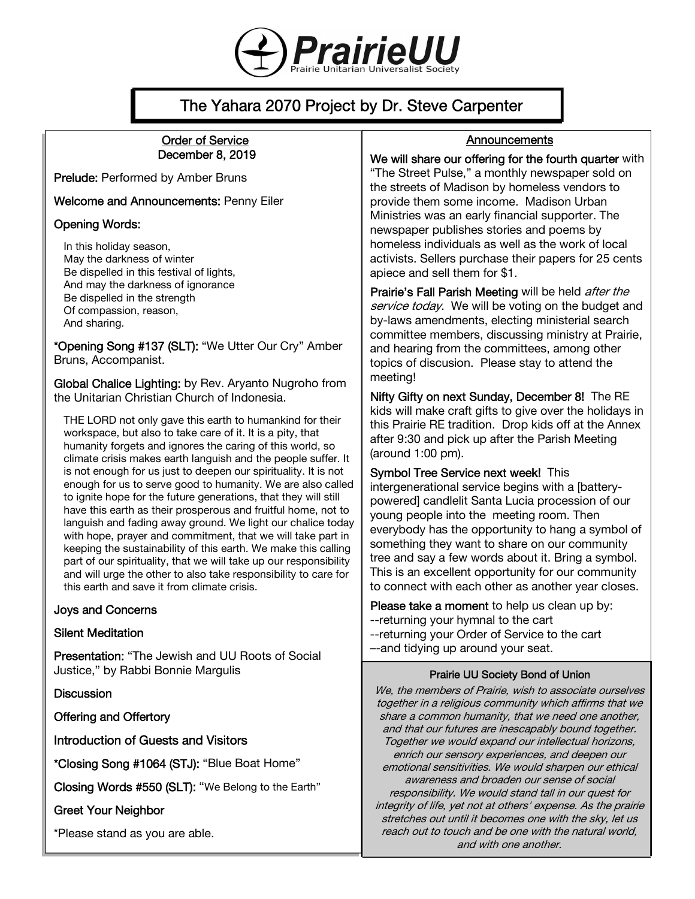

# The Yahara 2070 Project by Dr. Steve Carpenter

#### Order of Service December 8, 2019

Prelude: Performed by Amber Bruns

Welcome and Announcements: Penny Eiler

#### Opening Words:

In this holiday season, May the darkness of winter Be dispelled in this festival of lights, And may the darkness of ignorance Be dispelled in the strength Of compassion, reason, And sharing.

\*Opening Song #137 (SLT): "We Utter Our Cry" Amber Bruns, Accompanist.

Global Chalice Lighting: by Rev. Aryanto Nugroho from the Unitarian Christian Church of Indonesia.

THE LORD not only gave this earth to humankind for their workspace, but also to take care of it. It is a pity, that humanity forgets and ignores the caring of this world, so climate crisis makes earth languish and the people suffer. It is not enough for us just to deepen our spirituality. It is not enough for us to serve good to humanity. We are also called to ignite hope for the future generations, that they will still have this earth as their prosperous and fruitful home, not to languish and fading away ground. We light our chalice today with hope, prayer and commitment, that we will take part in keeping the sustainability of this earth. We make this calling part of our spirituality, that we will take up our responsibility and will urge the other to also take responsibility to care for this earth and save it from climate crisis.

#### Joys and Concerns

#### Silent Meditation

Presentation: "The Jewish and UU Roots of Social Justice," by Rabbi Bonnie Margulis

**Discussion** 

Offering and Offertory

Introduction of Guests and Visitors

\*Closing Song #1064 (STJ): "Blue Boat Home"

Closing Words #550 (SLT): "We Belong to the Earth"

#### Greet Your Neighbor

\*Please stand as you are able.

### Announcements

#### We will share our offering for the fourth quarter with

"The Street Pulse," a monthly newspaper sold on the streets of Madison by homeless vendors to provide them some income. Madison Urban Ministries was an early financial supporter. The newspaper publishes stories and poems by homeless individuals as well as the work of local activists. Sellers purchase their papers for 25 cents apiece and sell them for \$1.

Prairie's Fall Parish Meeting will be held *after the* service today. We will be voting on the budget and by-laws amendments, electing ministerial search committee members, discussing ministry at Prairie, and hearing from the committees, among other topics of discusion. Please stay to attend the meeting!

Nifty Gifty on next Sunday, December 8! The RE kids will make craft gifts to give over the holidays in this Prairie RE tradition. Drop kids off at the Annex after 9:30 and pick up after the Parish Meeting (around 1:00 pm).

Symbol Tree Service next week! This

intergenerational service begins with a [batterypowered] candlelit Santa Lucia procession of our young people into the meeting room. Then everybody has the opportunity to hang a symbol of something they want to share on our community tree and say a few words about it. Bring a symbol. This is an excellent opportunity for our community to connect with each other as another year closes.

Please take a moment to help us clean up by: --returning your hymnal to the cart --returning your Order of Service to the cart –-and tidying up around your seat.

#### Prairie UU Society Bond of Union

We, the members of Prairie, wish to associate ourselves together in a religious community which affirms that we share a common humanity, that we need one another, and that our futures are inescapably bound together. Together we would expand our intellectual horizons, enrich our sensory experiences, and deepen our emotional sensitivities. We would sharpen our ethical awareness and broaden our sense of social responsibility. We would stand tall in our quest for integrity of life, yet not at others' expense. As the prairie stretches out until it becomes one with the sky, let us reach out to touch and be one with the natural world, and with one another.